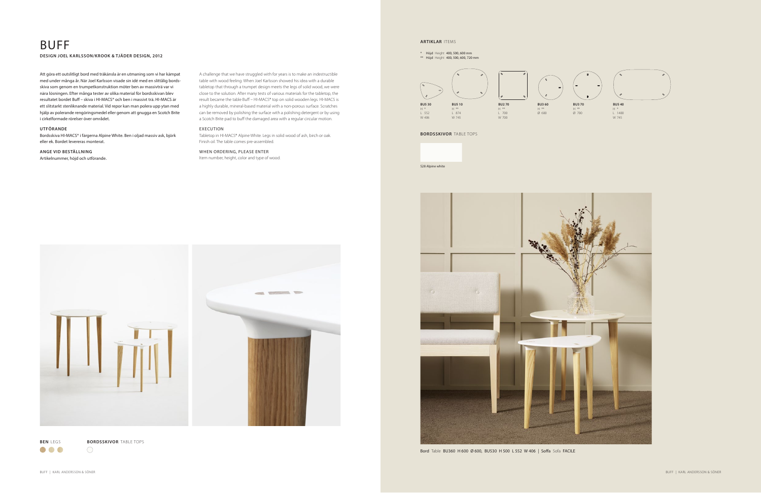### BUFF **DESIGN JOEL KARLSSON/KROOK & TJÄDER DESIGN, 2012**

A challenge that we have struggled with for years is to make an indestructible table with wood feeling. When Joel Karlsson showed his idea with a durable tabletop that through a trumpet design meets the legs of solid wood, we were close to the solution. After many tests of various materials for the tabletop, the result became the table Buff – HI-MACS® top on solid wooden legs. HI-MACS is a highly durable, mineral-based material with a non-porous surface. Scratches can be removed by polishing the surface with a polishing detergent or by using a Scotch Brite pad to buff the damaged area with a regular circular motion.

### EXECUTION

Tabletop in HI-MACS® Alpine White. Legs in solid wood of ash, birch or oak. Finish oil. The table comes pre-assembled.

### WHEN ORDERING, PLEASE ENTER

Item number, height, color and type of wood.

Att göra ett outslitligt bord med träkänsla är en utmaning som vi har kämpat med under många år. När Joel Karlsson visade sin idé med en slittålig bordsskiva som genom en trumpetkonstruktion möter ben av massivträ var vi nära lösningen. Efter många tester av olika material för bordsskivan blev resultatet bordet Buff – skiva i HI-MACS® och ben i massivt trä. HI-MACS är ett slitstarkt stenliknande material. Vid repor kan man polera upp ytan med hjälp av polerande rengöringsmedel eller genom att gnugga en Scotch Brite i cirkelformade rörelser över området.

### **UTFÖRANDE**

Bordsskiva HI-MACS® i färgerna Alpine White. Ben i oljad massiv ask, björk eller ek. Bordet levereras monterat.

### **ANGE VID BESTÄLLNING**

Artikelnummer, höjd och utförande.

**BEN** LEGS **BORDSSKIVOR** TABLE TOPS

 $\bigcirc$ 

## **ARTIKLAR** ITEMS

\* Höjd Height 400, 500, 600 mm \*\* Höjd Height 400, 500, 600, 720 mm

**BU5 40** H \* L 1400 W 745





Bord Table BU360 H 600 Ø 600, BU530 H 500 L 552 W 406 | Soffa Sofa FACILE



### **BORDSSKIVOR** TABLE TOPS

S28 Alpine white



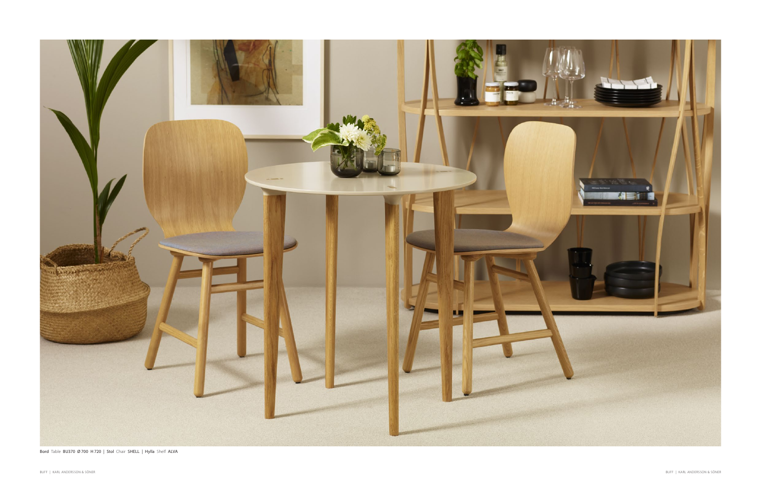

Bord Table BU370 Ø 700 H 720 | Stol Chair SHELL | Hylla Shelf ALVA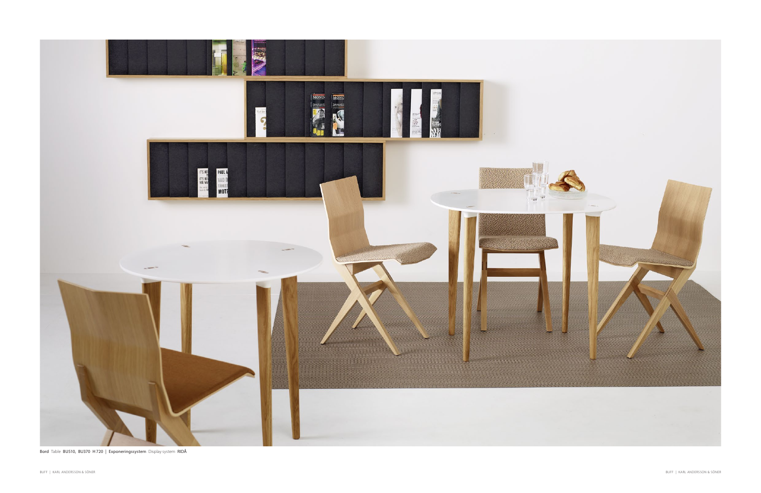

Bord Table BU510, BU370 H 720 | Exponeringssystem Display system RIDÅ